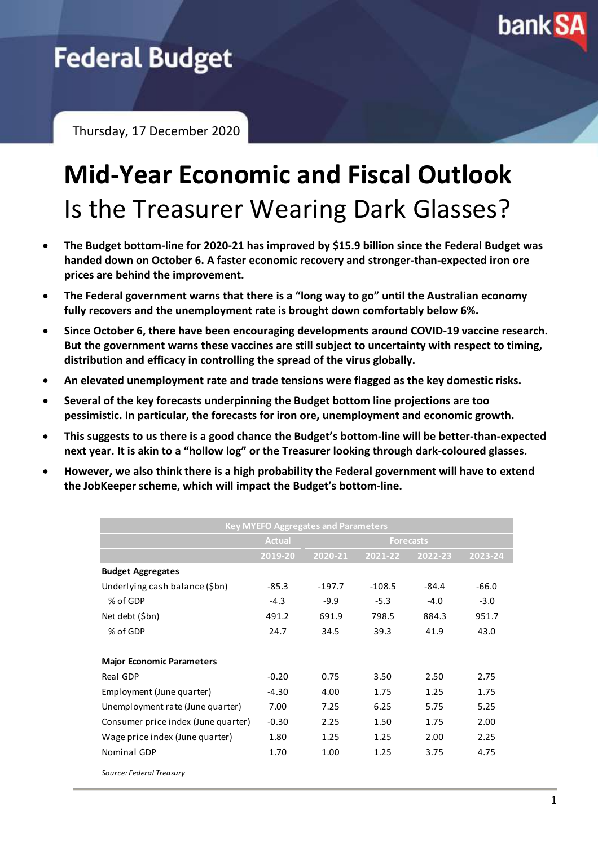

## **Federal Budget**

Thursday, 17 December 2020

# **Mid-Year Economic and Fiscal Outlook** Is the Treasurer Wearing Dark Glasses?

- **The Budget bottom-line for 2020-21 has improved by \$15.9 billion since the Federal Budget was handed down on October 6. A faster economic recovery and stronger-than-expected iron ore prices are behind the improvement.**
- **The Federal government warns that there is a "long way to go" until the Australian economy fully recovers and the unemployment rate is brought down comfortably below 6%.**
- **Since October 6, there have been encouraging developments around COVID-19 vaccine research. But the government warns these vaccines are still subject to uncertainty with respect to timing, distribution and efficacy in controlling the spread of the virus globally.**
- **An elevated unemployment rate and trade tensions were flagged as the key domestic risks.**
- **Several of the key forecasts underpinning the Budget bottom line projections are too pessimistic. In particular, the forecasts for iron ore, unemployment and economic growth.**
- **This suggests to us there is a good chance the Budget's bottom-line will be better-than-expected next year. It is akin to a "hollow log" or the Treasurer looking through dark-coloured glasses.**
- **However, we also think there is a high probability the Federal government will have to extend the JobKeeper scheme, which will impact the Budget's bottom-line.**

| <b>Key MYEFO Aggregates and Parameters</b> |               |                  |          |         |         |
|--------------------------------------------|---------------|------------------|----------|---------|---------|
|                                            | <b>Actual</b> | <b>Forecasts</b> |          |         |         |
|                                            | 2019-20       | 2020-21          | 2021-22  | 2022-23 | 2023-24 |
| <b>Budget Aggregates</b>                   |               |                  |          |         |         |
| Underlying cash balance (\$bn)             | $-85.3$       | $-197.7$         | $-108.5$ | $-84.4$ | $-66.0$ |
| % of GDP                                   | $-4.3$        | $-9.9$           | $-5.3$   | $-4.0$  | $-3.0$  |
| Net debt (\$bn)                            | 491.2         | 691.9            | 798.5    | 884.3   | 951.7   |
| % of GDP                                   | 24.7          | 34.5             | 39.3     | 41.9    | 43.0    |
|                                            |               |                  |          |         |         |
| <b>Major Economic Parameters</b>           |               |                  |          |         |         |
| Real GDP                                   | $-0.20$       | 0.75             | 3.50     | 2.50    | 2.75    |
| Employment (June quarter)                  | $-4.30$       | 4.00             | 1.75     | 1.25    | 1.75    |
| Unemployment rate (June quarter)           | 7.00          | 7.25             | 6.25     | 5.75    | 5.25    |
| Consumer price index (June quarter)        | $-0.30$       | 2.25             | 1.50     | 1.75    | 2.00    |
| Wage price index (June quarter)            | 1.80          | 1.25             | 1.25     | 2.00    | 2.25    |
| Nominal GDP                                | 1.70          | 1.00             | 1.25     | 3.75    | 4.75    |
| Source: Federal Treasury                   |               |                  |          |         |         |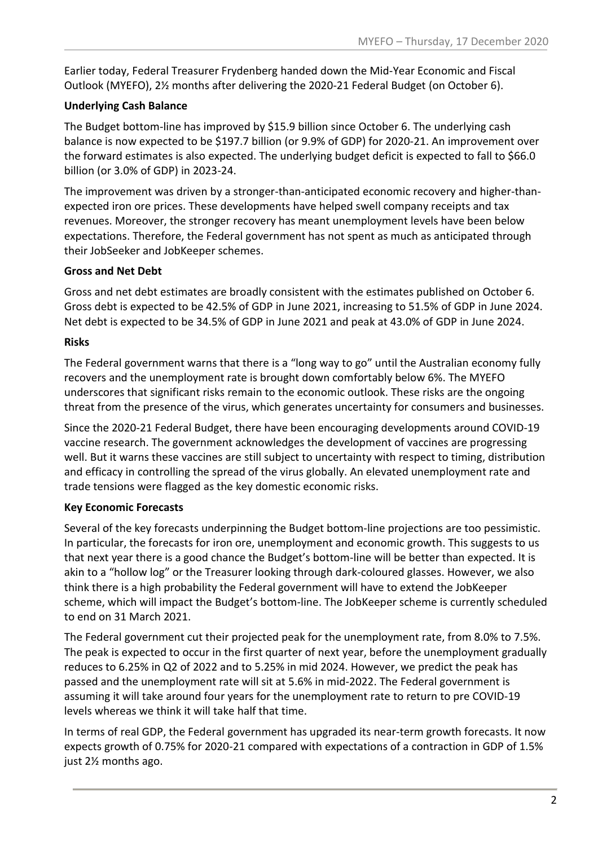Earlier today, Federal Treasurer Frydenberg handed down the Mid-Year Economic and Fiscal Outlook (MYEFO), 2½ months after delivering the 2020-21 Federal Budget (on October 6).

#### **Underlying Cash Balance**

The Budget bottom-line has improved by \$15.9 billion since October 6. The underlying cash balance is now expected to be \$197.7 billion (or 9.9% of GDP) for 2020-21. An improvement over the forward estimates is also expected. The underlying budget deficit is expected to fall to \$66.0 billion (or 3.0% of GDP) in 2023-24.

The improvement was driven by a stronger-than-anticipated economic recovery and higher-thanexpected iron ore prices. These developments have helped swell company receipts and tax revenues. Moreover, the stronger recovery has meant unemployment levels have been below expectations. Therefore, the Federal government has not spent as much as anticipated through their JobSeeker and JobKeeper schemes.

#### **Gross and Net Debt**

Gross and net debt estimates are broadly consistent with the estimates published on October 6. Gross debt is expected to be 42.5% of GDP in June 2021, increasing to 51.5% of GDP in June 2024. Net debt is expected to be 34.5% of GDP in June 2021 and peak at 43.0% of GDP in June 2024.

#### **Risks**

The Federal government warns that there is a "long way to go" until the Australian economy fully recovers and the unemployment rate is brought down comfortably below 6%. The MYEFO underscores that significant risks remain to the economic outlook. These risks are the ongoing threat from the presence of the virus, which generates uncertainty for consumers and businesses.

Since the 2020-21 Federal Budget, there have been encouraging developments around COVID-19 vaccine research. The government acknowledges the development of vaccines are progressing well. But it warns these vaccines are still subject to uncertainty with respect to timing, distribution and efficacy in controlling the spread of the virus globally. An elevated unemployment rate and trade tensions were flagged as the key domestic economic risks.

#### **Key Economic Forecasts**

Several of the key forecasts underpinning the Budget bottom-line projections are too pessimistic. In particular, the forecasts for iron ore, unemployment and economic growth. This suggests to us that next year there is a good chance the Budget's bottom-line will be better than expected. It is akin to a "hollow log" or the Treasurer looking through dark-coloured glasses. However, we also think there is a high probability the Federal government will have to extend the JobKeeper scheme, which will impact the Budget's bottom-line. The JobKeeper scheme is currently scheduled to end on 31 March 2021.

The Federal government cut their projected peak for the unemployment rate, from 8.0% to 7.5%. The peak is expected to occur in the first quarter of next year, before the unemployment gradually reduces to 6.25% in Q2 of 2022 and to 5.25% in mid 2024. However, we predict the peak has passed and the unemployment rate will sit at 5.6% in mid-2022. The Federal government is assuming it will take around four years for the unemployment rate to return to pre COVID-19 levels whereas we think it will take half that time.

In terms of real GDP, the Federal government has upgraded its near-term growth forecasts. It now expects growth of 0.75% for 2020-21 compared with expectations of a contraction in GDP of 1.5% just 2½ months ago.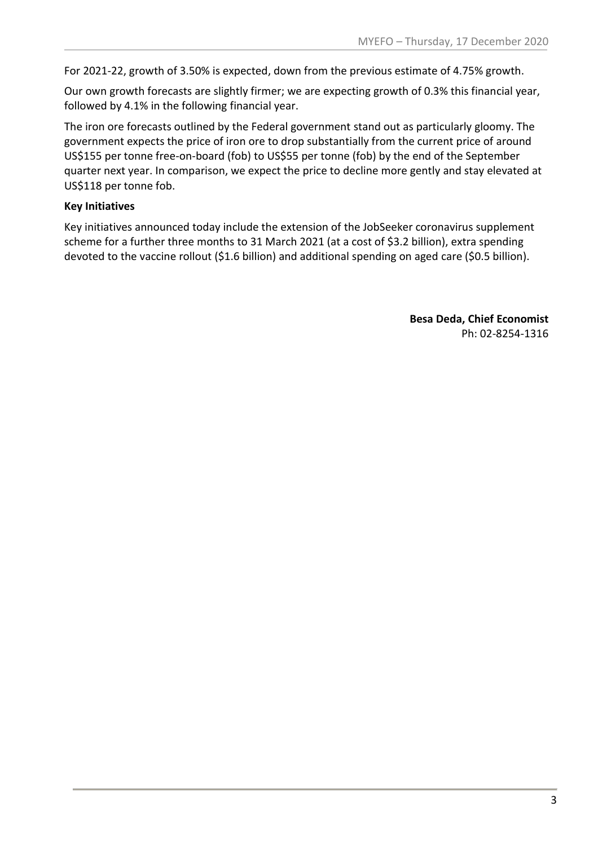For 2021-22, growth of 3.50% is expected, down from the previous estimate of 4.75% growth.

Our own growth forecasts are slightly firmer; we are expecting growth of 0.3% this financial year, followed by 4.1% in the following financial year.

The iron ore forecasts outlined by the Federal government stand out as particularly gloomy. The government expects the price of iron ore to drop substantially from the current price of around US\$155 per tonne free-on-board (fob) to US\$55 per tonne (fob) by the end of the September quarter next year. In comparison, we expect the price to decline more gently and stay elevated at US\$118 per tonne fob.

#### **Key Initiatives**

Key initiatives announced today include the extension of the JobSeeker coronavirus supplement scheme for a further three months to 31 March 2021 (at a cost of \$3.2 billion), extra spending devoted to the vaccine rollout (\$1.6 billion) and additional spending on aged care (\$0.5 billion).

> **Besa Deda, Chief Economist** Ph: 02-8254-1316